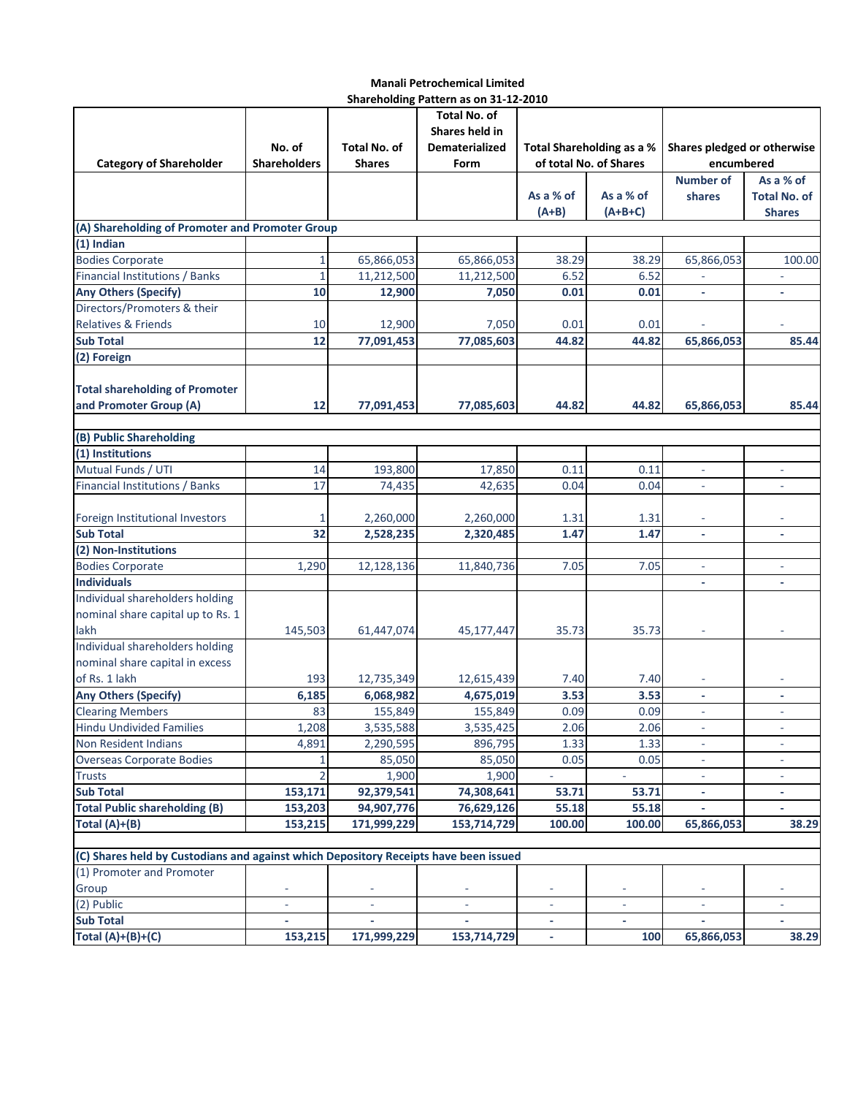## **Manali Petrochemical Limited Shareholding Pattern as on 31-12-2010**

|                                                                                      |                             |                     | 311a1 CHURING T attChilds UIT 31-12-2010 |                           |                          |                             |                          |
|--------------------------------------------------------------------------------------|-----------------------------|---------------------|------------------------------------------|---------------------------|--------------------------|-----------------------------|--------------------------|
|                                                                                      |                             | Total No. of        |                                          |                           |                          |                             |                          |
|                                                                                      |                             |                     | Shares held in                           |                           |                          |                             |                          |
|                                                                                      | No. of                      | <b>Total No. of</b> | Dematerialized                           | Total Shareholding as a % |                          | Shares pledged or otherwise |                          |
| <b>Category of Shareholder</b>                                                       | <b>Shareholders</b>         | <b>Shares</b>       | Form                                     | of total No. of Shares    |                          | encumbered                  |                          |
|                                                                                      |                             |                     |                                          |                           |                          | <b>Number of</b>            | As a % of                |
|                                                                                      |                             |                     |                                          | As a % of                 | As a % of                | shares                      | <b>Total No. of</b>      |
|                                                                                      |                             |                     |                                          | $(A+B)$                   | $(A+B+C)$                |                             | <b>Shares</b>            |
| (A) Shareholding of Promoter and Promoter Group                                      |                             |                     |                                          |                           |                          |                             |                          |
| $(1)$ Indian                                                                         |                             |                     |                                          |                           |                          |                             |                          |
| <b>Bodies Corporate</b>                                                              | 1                           | 65,866,053          | 65,866,053                               | 38.29                     | 38.29                    | 65,866,053                  | 100.00                   |
| Financial Institutions / Banks                                                       | 1                           | 11,212,500          | 11,212,500                               | 6.52                      | 6.52                     |                             |                          |
| <b>Any Others (Specify)</b>                                                          | 10                          | 12,900              | 7,050                                    | 0.01                      | 0.01                     | L,                          | $\blacksquare$           |
| Directors/Promoters & their                                                          |                             |                     |                                          |                           |                          |                             |                          |
| Relatives & Friends                                                                  | 10                          | 12,900              | 7,050                                    | 0.01                      | 0.01                     |                             |                          |
| <b>Sub Total</b>                                                                     | 12                          | 77,091,453          | 77,085,603                               | 44.82                     | 44.82                    | 65,866,053                  | 85.44                    |
| (2) Foreign                                                                          |                             |                     |                                          |                           |                          |                             |                          |
|                                                                                      |                             |                     |                                          |                           |                          |                             |                          |
| <b>Total shareholding of Promoter</b>                                                |                             |                     |                                          |                           |                          |                             |                          |
| and Promoter Group (A)                                                               | 12                          | 77,091,453          | 77,085,603                               | 44.82                     | 44.82                    | 65,866,053                  | 85.44                    |
|                                                                                      |                             |                     |                                          |                           |                          |                             |                          |
| (B) Public Shareholding                                                              |                             |                     |                                          |                           |                          |                             |                          |
| (1) Institutions                                                                     |                             |                     |                                          |                           |                          |                             |                          |
| Mutual Funds / UTI                                                                   | 14                          | 193,800             | 17,850                                   | 0.11                      | 0.11                     | ۰                           | $\overline{\phantom{a}}$ |
| Financial Institutions / Banks                                                       | 17                          |                     | 42,635                                   | 0.04                      | 0.04                     |                             |                          |
|                                                                                      |                             | 74,435              |                                          |                           |                          | ÷                           |                          |
|                                                                                      |                             |                     |                                          |                           |                          |                             |                          |
| Foreign Institutional Investors                                                      |                             | 2,260,000           | 2,260,000                                | 1.31                      | 1.31                     |                             |                          |
| <b>Sub Total</b>                                                                     | 32                          | 2,528,235           | 2,320,485                                | 1.47                      | 1.47                     | $\overline{\phantom{a}}$    | ٠                        |
| (2) Non-Institutions                                                                 |                             |                     |                                          |                           |                          |                             |                          |
| <b>Bodies Corporate</b>                                                              | 1,290                       | 12,128,136          | 11,840,736                               | 7.05                      | 7.05                     |                             |                          |
| <b>Individuals</b>                                                                   |                             |                     |                                          |                           |                          |                             |                          |
| Individual shareholders holding                                                      |                             |                     |                                          |                           |                          |                             |                          |
| nominal share capital up to Rs. 1                                                    |                             |                     |                                          |                           |                          |                             |                          |
| lakh                                                                                 | 145,503                     | 61,447,074          | 45,177,447                               | 35.73                     | 35.73                    |                             |                          |
| Individual shareholders holding                                                      |                             |                     |                                          |                           |                          |                             |                          |
| nominal share capital in excess                                                      |                             |                     |                                          |                           |                          |                             |                          |
| of Rs. 1 lakh                                                                        | 193                         | 12,735,349          | 12,615,439                               | 7.40                      | 7.40                     |                             |                          |
| <b>Any Others (Specify)</b>                                                          | 6,185                       | 6,068,982           | 4,675,019                                | 3.53                      | 3.53                     | $\overline{\phantom{a}}$    | ٠                        |
| <b>Clearing Members</b>                                                              | 83                          | 155,849             | 155,849                                  | 0.09                      | 0.09                     | $\overline{\phantom{a}}$    | $\overline{\phantom{a}}$ |
| <b>Hindu Undivided Families</b>                                                      | 1,208                       | 3,535,588           | 3,535,425                                | 2.06                      | 2.06                     | $\overline{\phantom{a}}$    | ÷                        |
| Non Resident Indians                                                                 | 4,891                       | 2,290,595           | 896,795                                  | 1.33                      | 1.33                     | ۰.                          | ٠                        |
| <b>Overseas Corporate Bodies</b>                                                     | 1                           | 85,050              | 85,050                                   | 0.05                      | 0.05                     | ٠                           | $\equiv$                 |
| <b>Trusts</b>                                                                        | 2                           | 1,900               | 1,900                                    | $\omega$                  | $\overline{\phantom{a}}$ | ÷                           | $\sim$                   |
| <b>Sub Total</b>                                                                     | 153,171                     | 92,379,541          | 74,308,641                               | 53.71                     | 53.71                    | ٠                           | ٠                        |
| <b>Total Public shareholding (B)</b>                                                 | 153,203                     | 94,907,776          | 76,629,126                               | 55.18                     | 55.18                    |                             | $\overline{\phantom{a}}$ |
| Total $(A)+(B)$                                                                      | 153,215                     | 171,999,229         | 153,714,729                              | 100.00                    | 100.00                   | 65,866,053                  | 38.29                    |
|                                                                                      |                             |                     |                                          |                           |                          |                             |                          |
| (C) Shares held by Custodians and against which Depository Receipts have been issued |                             |                     |                                          |                           |                          |                             |                          |
| (1) Promoter and Promoter                                                            |                             |                     |                                          |                           |                          |                             |                          |
| Group                                                                                |                             |                     |                                          |                           |                          |                             |                          |
| (2) Public                                                                           | $\mathcal{L}_{\mathcal{A}}$ | $\omega$            | $\mathcal{L}_{\mathcal{A}}$              |                           | $\omega$                 |                             | $\overline{\phantom{a}}$ |
| <b>Sub Total</b>                                                                     | $\mathcal{L}_{\mathcal{A}}$ |                     |                                          |                           | ÷.                       | ÷.                          | $\blacksquare$           |
| Total $(A)+(B)+(C)$                                                                  | 153,215                     | 171,999,229         | 153,714,729                              | ٠                         | 100                      | 65,866,053                  | 38.29                    |
|                                                                                      |                             |                     |                                          |                           |                          |                             |                          |